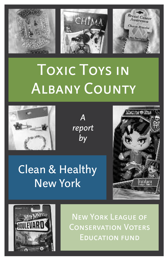

# Toxic Toys in Albany County



*A report by*







New York League of Conservation Voters Education fund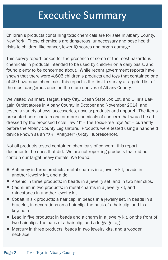### Executive Summary

Children's products containing toxic chemicals are for sale in Albany County, New York. These chemicals are dangerous, unnecessary and pose health risks to children like cancer, lower IQ scores and organ damage.

This survey report looked for the presence of some of the most hazardous chemicals in products intended to be used by children on a daily basis, and found plenty to be concerned about. While recent government reports have shown that there were 4,605 children's products and toys that contained one of 49 hazardous chemicals, this report is the first to survey a targeted list of the most dangerous ones on the store shelves of Albany County.

We visited Walmart, Target, Party City, Ocean State Job Lot, and Ollie's Bargain Outlet stores in Albany County in October and November 2014, and tested a variety of toys, accessories, novelty products and apparel. The items presented here contain one or more chemicals of concern that would be addressed by the proposed Local Law "J" – the Toxic-Free Toys Act – currently before the Albany County Legislature. Products were tested using a handheld device known as an "XRF Analyzer" (X-Ray Fluorescence).

Not all products tested contained chemicals of concern; this report documents the ones that did. We are not reporting products that did not contain our target heavy metals. We found:

- **•** Antimony in three products: metal charms in a jewelry kit, beads in another jewelry kit, and a doll.
- **•** Arsenic in three products: in beads in a jewelry set, and in two hair clips.
- Cadmium in two products: in metal charms in a jewelry kit, and rhinestones in another jewelry kit.
- a Cobalt in six products: a hair clip, in beads in a jewelry set, in beads in a bracelet, in decorations on a hair clip, the back of a hair clip, and in a keychain.
- **Lead in five products: in beads and a charm in a jewelry kit, on the front of** two hair clips, the back of a hair clip, and a luggage tag.
- **•** Mercury in three products: beads in two jewelry kits, and a wooden necklace.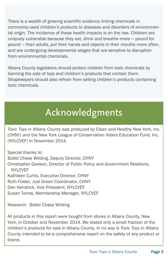There is a wealth of growing scientific evidence linking chemicals in commonly-used children's products to diseases and disorders of environmental origin. The incidence of these health impacts is on the rise. Children are uniquely vulnerable because they eat, drink and breathe more — pound for pound — than adults, put their hands and objects in their mouths more often, and are undergoing developmental stages that are sensitive to disruption from environmental chemicals.

Albany County legislators should protect children from toxic chemicals by banning the sale of toys and children's products that contain them. Shopkeepers should also refrain from selling children's products containing toxic chemicals.

### Acknowledgments

*Toxic Toys in Albany County* was produced by Clean and Healthy New York, Inc. (CHNY) and the New York League of Conservation Voters Education Fund, Inc. (NYLCVEF) in November 2014.

Special thanks to: Bobbi Chase Wilding, Deputy Director, CHNY Christopher Goeken, Director of Public Policy and Government Relations, **NYLCVEF** Kathleen Curtis, Executive Director, CHNY Ruth Foster, Just Green Coordinator, CHNY Dan Hendrick, Vice President, NYLCVEF Susan Torres, Membership Manager, NYLCVEF

Research: Bobbi Chase Wilding

All products in this report were bought from stores in Albany County, New York, in October and November 2014. We tested only a small fraction of the children's products for sale in Albany County. In no way is *Toxic Toys in Albany County* intended to be a comprehensive report on the safety of any product or brand.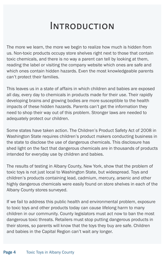### **INTRODUCTION**

The more we learn, the more we begin to realize how much is hidden from us. Non-toxic products occupy store shelves right next to those that contain toxic chemicals, and there is no way a parent can tell by looking at them, reading the label or visiting the company website which ones are safe and which ones contain hidden hazards. Even the most knowledgeable parents can't protect their families.

This leaves us in a state of affairs in which children and babies are exposed all day, every day to chemicals in products made for their use. Their rapidly developing brains and growing bodies are more susceptible to the health impacts of these hidden hazards. Parents can't get the information they need to shop their way out of this problem. Stronger laws are needed to adequately protect our children.

Some states have taken action. The Children's Product Safety Act of 2008 in Washington State requires children's product makers conducting business in the state to disclose the use of dangerous chemicals. This disclosure has shed light on the fact that dangerous chemicals are in thousands of products intended for everyday use by children and babies.

The results of testing in Albany County, New York, show that the problem of toxic toys is not just local to Washington State, but widespread. Toys and children's products containing lead, cadmium, mercury, arsenic and other highly dangerous chemicals were easily found on store shelves in each of the Albany County stores surveyed.

If we fail to address this public health and environmental problem, exposure to toxic toys and other products today can cause lifelong harm to many children in our community. County legislators must act now to ban the most dangerous toxic threats. Retailers must stop putting dangerous products in their stores, so parents will know that the toys they buy are safe. Children and babies in the Capital Region can't wait any longer.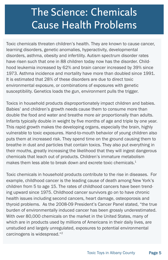### The Science: Chemicals Cause Health Problems

Toxic chemicals threaten children's health. They are known to cause cancer, learning disorders, genetic anomalies, hyperactivity, developmental disorders, asthma, obesity and infertility. Autism spectrum disorder rates have risen such that one in 88 children today now has the disorder. Childhood leukemia increased by 62% and brain cancer increased by 39% since 1973. Asthma incidence and mortality have more than doubled since 1991. It is estimated that 28% of these disorders are due to direct toxic environmental exposure, or combinations of exposures with genetic susceptibility. Genetics loads the gun, environment pulls the trigger.

Toxics in household products disproportionately impact children and babies. Babies' and children's growth needs cause them to consume more than double the food and water and breathe more air proportionally than adults. Infants typically double in weight by five months of age and triple by one year. This rapid growth makes the developing organs, especially the brain, highly vulnerable to toxic exposures. Hand-to-mouth behavior of young children also puts them at increased risk. They spend time on the ground causing them to breathe in dust and particles that contain toxics. They also put everything in their mouths, greatly increasing the likelihood that they will ingest dangerous chemicals that leach out of products. Children's immature metabolism makes them less able to break down and excrete toxic chemicals. 1

Toxic chemicals in household products contribute to the rise in diseases. For example, childhood cancer is the leading cause of death among New York's children from 5 to age 15. The rates of childhood cancers have been trending upward since 1975. Childhood cancer survivors go on to have chronic health issues including second cancers, heart damage, osteoporosis and thyroid problems. As the 2008-09 President's Cancer Panel stated, "the true burden of environmentally induced cancer has been grossly underestimated. With over 80,000 chemicals on the market in the United States, many of which are in products used by millions of Americans in their daily lives, are unstudied and largely unregulated, exposures to potential environmental carcinogens is widespread."2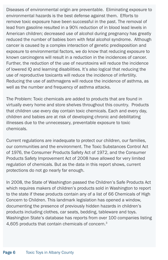Diseases of environmental origin are preventable. Eliminating exposure to environmental hazards is the best defense against them. Efforts to remove toxic exposure have been successful in the past. The removal of lead from gasoline resulted in a 90% reduction of in blood lead levels in American children; decreased use of alcohol during pregnancy has greatly reduced the number of babies born with fetal alcohol syndrome. Although cancer is caused by a complex interaction of genetic predisposition and exposure to environmental factors, we do know that reducing exposure to known carcinogens will result in a reduction in the incidences of cancer. Further, the reduction of the use of neurotoxins will reduce the incidence of lowered IQ and learning disabilities. It's also logical that reducing the use of reproductive toxicants will reduce the incidence of infertility. Reducing the use of asthmagens will reduce the incidence of asthma, as well as the number and frequency of asthma attacks.

The Problem: Toxic chemicals are added to products that are found in virtually every home and store shelves throughout this country. Products that children use every day contain toxic chemicals. Each and every day, children and babies are at risk of developing chronic and debilitating illnesses due to the unnecessary, preventable exposure to toxic chemicals.

Current regulations are inadequate to protect our children, our families, our communities and the environment. The Toxic Substances Control Act of 1976, the Consumer Products Safety Act of 1972, and the Consumer Products Safety Improvement Act of 2008 have allowed for very limited regulation of chemicals. But as the data in this report shows, current protections do not go nearly far enough.

In 2008, the State of Washington passed the Children's Safe Products Act which requires makers of children's products sold in Washington to report to the state if these products contain any of a list of 66 Chemicals of High Concern to Children. This landmark legislation has opened a window, documenting the presence of previously hidden hazards in children's products including clothes, car seats, bedding, tableware and toys. Washington State's database has reports from over 100 companies listing 4,605 products that contain chemicals of concern. 3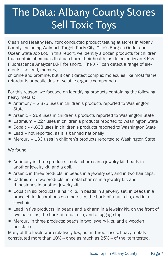## The Data: Albany County Stores Sell Toxic Toys

Clean and Healthy New York conducted product testing at stores in Albany County, including Walmart, Target, Party City, OIlie's Bargain Outlet and Ocean State Job Lot. In this report, we identify a dozen products for children that contain chemicals that can harm their health, as detected by an X-Ray Fluorescence Analyzer (XRF for short). The XRF can detect a range of elements like lead, mercury,

chlorine and bromine, but it can't detect complex molecules like most flame retardants or pesticides, or volatile organic compounds.

For this reason, we focused on identifying products containing the following heavy metals:

- Antimony 2,376 uses in children's products reported to Washington State
- Arsenic 269 uses in children's products reported to Washington State
- Cadmium 227 uses in children's products reported to Washington State
- Cobalt 4,838 uses in children's products reported to Washington State
- Lead not reported, as it is banned nationally
- Mercury 133 uses in children's products reported to Washington State

We found:

- **•** Antimony in three products: metal charms in a jewelry kit, beads in another jewelry kit, and a doll.
- **•** Arsenic in three products: in beads in a jewelry set, and in two hair clips.
- Cadmium in two products: in metal charms in a jewelry kit, and rhinestones in another jewelry kit.
- a Cobalt in six products: a hair clip, in beads in a jewelry set, in beads in a bracelet, in decorations on a hair clip, the back of a hair clip, and in a keychain.
- **E** Lead in five products: in beads and a charm in a jewelry kit, on the front of two hair clips, the back of a hair clip, and a luggage tag.
- **•** Mercury in three products: beads in two jewelry kits, and a wooden necklace.

Many of the levels were relatively low, but in three cases, heavy metals constituted more than  $10\%$  – once as much as  $25\%$  – of the item tested.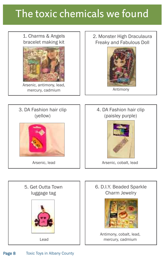### The toxic chemicals we found

1. Charms & Angels bracelet making kit



Arsenic, antimony, lead, mercury, cadmium

#### 2. Monster High Draculaura Freaky and Fabulous Doll





Antimony, cobalt, lead, mercury, cadmium

Lead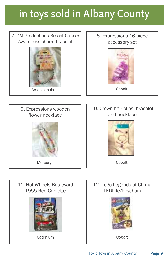# in toys sold in Albany County

#### 7. DM Productions Breast Cancer Awareness charm bracelet



Arsenic, cobalt **Cobalt** Cobalt

#### 8. Expressions 16-piece accessory set





#### 10. Crown hair clips, bracelet and necklace



Cobalt



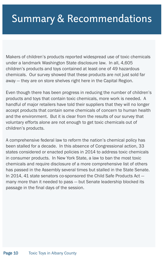### Summary & Recommendations

Makers of children's products reported widespread use of toxic chemicals under a landmark Washington State disclosure law. In all, 4,605 children's products and toys contained at least one of 49 hazardous chemicals. Our survey showed that these products are not just sold far away — they are on store shelves right here in the Capital Region.

Even though there has been progress in reducing the number of children's products and toys that contain toxic chemicals, more work is needed. A handful of major retailers have told their suppliers that they will no longer accept products that contain some chemicals of concern to human health and the environment. But it is clear from the results of our survey that voluntary efforts alone are not enough to get toxic chemicals out of children's products.

A comprehensive federal law to reform the nation's chemical policy has been stalled for a decade. In this absence of Congressional action, 33 states considered or enacted policies in 2014 to address toxic chemicals in consumer products. In New York State, a law to ban the most toxic chemicals and require disclosure of a more comprehensive list of others has passed in the Assembly several times but stalled in the State Senate. In 2014, 41 state senators co-sponsored the Child Safe Products Act many more than it needed to pass — but Senate leadership blocked its passage in the final days of the session.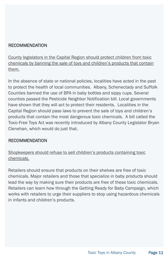#### **RECOMMENDATION**

County legislators in the Capital Region should protect children from toxic chemicals by banning the sale of toys and children's products that contain them.

In the absence of state or national policies, localities have acted in the past to protect the health of local communities. Albany, Schenectady and Suffolk Counties banned the use of BPA in baby bottles and sippy cups. Several counties passed the Pesticide Neighbor Notification bill. Local governments have shown that they will act to protect their residents. Localities in the Capital Region should pass laws to prevent the sale of toys and children's products that contain the most dangerous toxic chemicals. A bill called the Toxic-Free Toys Act was recently introduced by Albany County Legislator Bryan Clenehan, which would do just that.

#### RECOMMENDATION

Shopkeepers should refuse to sell children's products containing toxic chemicals.

Retailers should ensure that products on their shelves are free of toxic chemicals. Major retailers and those that specialize in baby products should lead the way by making sure their products are free of these toxic chemicals. Retailers can learn how through the Getting Ready for Baby Campaign, which works with retailers to urge their suppliers to stop using hazardous chemicals in infants and children's products.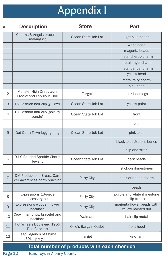# Appendix I

| #                                           | <b>Description</b>                                               | <b>Store</b>           | <b>Part</b>                                     |  |  |  |
|---------------------------------------------|------------------------------------------------------------------|------------------------|-------------------------------------------------|--|--|--|
| $\mathbf{1}$                                | Charms & Angels bracelet-<br>making kit                          | Ocean State Job Lot    | light blue beads                                |  |  |  |
|                                             |                                                                  |                        | white bead                                      |  |  |  |
|                                             |                                                                  |                        | magenta beads                                   |  |  |  |
|                                             |                                                                  |                        | metal cherub charm                              |  |  |  |
|                                             |                                                                  |                        | metal angel charm                               |  |  |  |
|                                             |                                                                  |                        | metal dancer charm                              |  |  |  |
|                                             |                                                                  |                        | yellow bead                                     |  |  |  |
|                                             |                                                                  |                        | metal fairy charm                               |  |  |  |
|                                             |                                                                  |                        | pink bead                                       |  |  |  |
| $\overline{2}$                              | Monster High Draculaura<br>Freaky and Fabulous Doll              | <b>Target</b>          | pink boot legs                                  |  |  |  |
| 3                                           | DA Fashion hair clip (yellow)                                    | Ocean State Job Lot    | yellow paint                                    |  |  |  |
| 4                                           | DA Fashion hair clip (paisley<br>purple)                         | Ocean State Job Lot    | front                                           |  |  |  |
|                                             |                                                                  |                        | clip                                            |  |  |  |
| 5                                           | Get Outta Town luggage tag                                       | Ocean State Job Lot    | pink skull                                      |  |  |  |
|                                             |                                                                  |                        | black skull & cross bones                       |  |  |  |
|                                             |                                                                  |                        | clip and strap                                  |  |  |  |
| 6                                           | D.I.Y. Beaded Sparkle Charm<br>Jewelry                           | Ocean State Job Lot    | dark beads                                      |  |  |  |
|                                             |                                                                  |                        | stick-on rhinestones                            |  |  |  |
| $\overline{7}$                              | <b>DM Productions Breast Can-</b><br>cer Awareness harm bracelet | Party City             | back of ribbon charm                            |  |  |  |
|                                             |                                                                  |                        | beads                                           |  |  |  |
| 8                                           | Expressions 16-piece<br>accessory set                            | Party City             | purple and white rhinestone<br>clip (front)     |  |  |  |
| 9                                           | Expressions wooden flower<br>necklace                            | Party City             | magenta flower beads with<br>yellow painted dot |  |  |  |
| 10                                          | Crown hair clips, bracelet and<br>necklace                       | Walmart                | hair clip metal                                 |  |  |  |
| 11                                          | Hot Wheels Boulevard 1955<br><b>Red Corvette</b>                 | Ollie's Bargain Outlet | front hood                                      |  |  |  |
| 12                                          | Lego Legends of Chima<br>LEDLite/keychain                        | Target                 | keychain                                        |  |  |  |
| Total number of products with each chemical |                                                                  |                        |                                                 |  |  |  |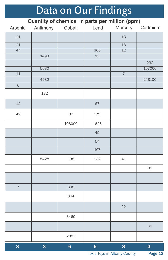# Data on Our Findings

**Quantity of chemical in parts per million (ppm)**

| Arsenic                  | Antimony | Cobalt         | Lead             | Mercury         | Cadmium |
|--------------------------|----------|----------------|------------------|-----------------|---------|
| 21                       |          |                |                  | 13              |         |
| $\overline{21}$          |          |                |                  | $\overline{18}$ |         |
| $\overline{47}$          |          |                | $\overline{368}$ | $\overline{12}$ |         |
|                          | 1490     |                | $15\,$           |                 |         |
|                          |          |                |                  |                 | 232     |
|                          | 5630     |                |                  |                 | 157000  |
| $\overline{11}$          |          |                |                  | $\overline{7}$  |         |
|                          | 4932     |                |                  |                 | 248100  |
| $\overline{6}$           |          |                |                  |                 |         |
|                          | 182      |                |                  |                 |         |
| 12                       |          |                | 67               |                 |         |
| 42                       |          | 92             | 279              |                 |         |
|                          |          | 108000         | 1626             |                 |         |
|                          |          |                | 45               |                 |         |
|                          |          |                | 54               |                 |         |
|                          |          |                | 107              |                 |         |
|                          | 5428     | 138            | 132              | 41              |         |
|                          |          |                |                  |                 | 89      |
|                          |          |                |                  |                 |         |
| $\overline{\mathcal{I}}$ |          | 308            |                  |                 |         |
|                          |          | 864            |                  |                 |         |
|                          |          |                |                  | 22              |         |
|                          |          | 3469           |                  |                 |         |
|                          |          |                |                  |                 | 63      |
|                          |          | 2883           |                  |                 |         |
| 3                        | 3        | $6\phantom{a}$ | 5                | 3               | 3       |

Toxic Toys in Albany County Page 13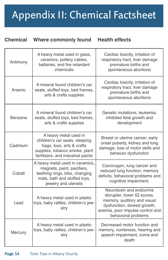# Appendix II: Chemical Factsheet

#### **Chemical Where commonly found Health effects**

| Antimony                                                                                                                                                          | A heavy metal used in glass,<br>ceramics, pottery cables,<br>batteries, and fire retardant<br>chemicals                                                      | Cardiac toxicity, irritation of<br>respiratory tract, liver damage<br>premature births and<br>spontaneous abortions                                                              |  |
|-------------------------------------------------------------------------------------------------------------------------------------------------------------------|--------------------------------------------------------------------------------------------------------------------------------------------------------------|----------------------------------------------------------------------------------------------------------------------------------------------------------------------------------|--|
| Arsenic                                                                                                                                                           | A mineral found children's car<br>seats, stuffed toys, bed frames,<br>arts & crafts supplies                                                                 | Cardiac toxicity, irritation of<br>respiratory tract, liver damage<br>premature births and<br>spontaneous abortions                                                              |  |
| Benzene                                                                                                                                                           | A mineral found children's car<br>seats, stuffed toys, bed frames,<br>arts & crafts supplies                                                                 | Genetic mutations, leukemia,<br>inhibited fetal growth and<br>development                                                                                                        |  |
| Cadmium                                                                                                                                                           | A heavy metal used in<br>children's car seats, sleeping<br>bags, toys, arts & crafts<br>supplies, tobacco smoke, plant<br>fertilizers, and industrial paints | Breast or uterine cancer, early<br>onset puberty, kidney and lung<br>damage, loss of motor skills and<br>behavior dysfunction                                                    |  |
| A heavy metal used in ceramics,<br>magnets, paint, pacifiers,<br>Cobalt<br>teething rings, bibs, changing<br>mats, bath and stuffed toys,<br>jewelry and utensils |                                                                                                                                                              | Carcinogen, lung cancer and<br>reduced lung function, memory<br>deficits, behavioral problems and<br>cognitive impairment.                                                       |  |
| Lead                                                                                                                                                              | A heavy metal used in plastic<br>toys, baby rattles, children's jew-<br>elry                                                                                 | Neurotoxin and endocrine<br>disrupter, lower IQ scores,<br>memory, auditory and visual<br>dysfunction, slowed growth,<br>anemia, poor impulse control and<br>behavioral problems |  |
| Mercury                                                                                                                                                           | A heavy metal used in plastic<br>toys, baby rattles, children's jew-<br>elry                                                                                 | Decreased motor function and<br>memory, numbness, hearing and<br>speech impairment, coma and<br>death                                                                            |  |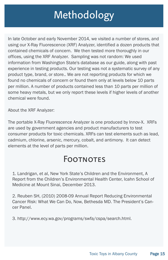## **Methodology**

In late October and early November 2014, we visited a number of stores, and using our X-Ray Fluorescence (XRF) Analyzer, identified a dozen products that contained chemicals of concern. We then tested more thoroughly in our offices, using the XRF Analyzer. Sampling was not random: We used information from Washington State's database as our guide, along with past experience in testing products. Our testing was not a systematic survey of any product type, brand, or store.. We are not reporting products for which we found no chemicals of concern or found them only at levels below 10 parts per million. A number of products contained less than 10 parts per million of some heavy metals, but we only report these levels if higher levels of another chemical were found.

About the XRF Analyzer:

The portable X-Ray Fluorescence Analyzer is one produced by Innov-X. XRFs are used by government agencies and product manufacturers to test consumer products for toxic chemicals. XRFs can test elements such as lead, cadmium, chlorine, arsenic, mercury, cobalt, and antimony. It can detect elements at the level of parts per million.

### **FOOTNOTES**

1. Landrigan, et al, New York State's Children and the Environment, A Report from the Children's Environmental Health Center, Icahn School of Medicine at Mount Sinai, December 2013.

2. Reuben SH, (2010) 2008-09 Annual Report Reducing Environmental Cancer Risk: What We Can Do, Now, Bethesda MD. The President's Cancer Panel.

3. http://www.ecy.wa.gov/programs/swfa/cspa/search.html.